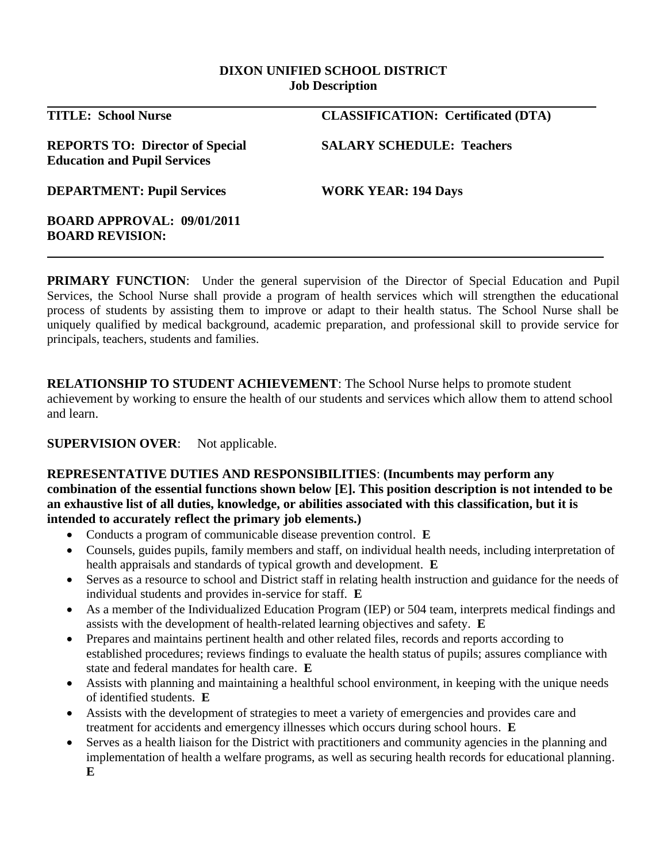#### **DIXON UNIFIED SCHOOL DISTRICT Job Description**

| <b>TITLE: School Nurse</b>                                                    | <b>CLASSIFICATION: Certificated (DTA)</b> |
|-------------------------------------------------------------------------------|-------------------------------------------|
| <b>REPORTS TO: Director of Special</b><br><b>Education and Pupil Services</b> | <b>SALARY SCHEDULE: Teachers</b>          |
| <b>DEPARTMENT: Pupil Services</b>                                             | <b>WORK YEAR: 194 Days</b>                |
| <b>BOARD APPROVAL: 09/01/2011</b><br><b>BOARD REVISION:</b>                   |                                           |

**PRIMARY FUNCTION:** Under the general supervision of the Director of Special Education and Pupil Services, the School Nurse shall provide a program of health services which will strengthen the educational process of students by assisting them to improve or adapt to their health status. The School Nurse shall be uniquely qualified by medical background, academic preparation, and professional skill to provide service for principals, teachers, students and families.

**RELATIONSHIP TO STUDENT ACHIEVEMENT**: The School Nurse helps to promote student achievement by working to ensure the health of our students and services which allow them to attend school and learn.

### **SUPERVISION OVER:** Not applicable.

### **REPRESENTATIVE DUTIES AND RESPONSIBILITIES**: **(Incumbents may perform any combination of the essential functions shown below [E]. This position description is not intended to be an exhaustive list of all duties, knowledge, or abilities associated with this classification, but it is intended to accurately reflect the primary job elements.)**

- Conducts a program of communicable disease prevention control. **E**
- Counsels, guides pupils, family members and staff, on individual health needs, including interpretation of health appraisals and standards of typical growth and development. **E**
- Serves as a resource to school and District staff in relating health instruction and guidance for the needs of individual students and provides in-service for staff. **E**
- As a member of the Individualized Education Program (IEP) or 504 team, interprets medical findings and assists with the development of health-related learning objectives and safety. **E**
- Prepares and maintains pertinent health and other related files, records and reports according to established procedures; reviews findings to evaluate the health status of pupils; assures compliance with state and federal mandates for health care. **E**
- Assists with planning and maintaining a healthful school environment, in keeping with the unique needs of identified students. **E**
- Assists with the development of strategies to meet a variety of emergencies and provides care and treatment for accidents and emergency illnesses which occurs during school hours. **E**
- Serves as a health liaison for the District with practitioners and community agencies in the planning and implementation of health a welfare programs, as well as securing health records for educational planning. **E**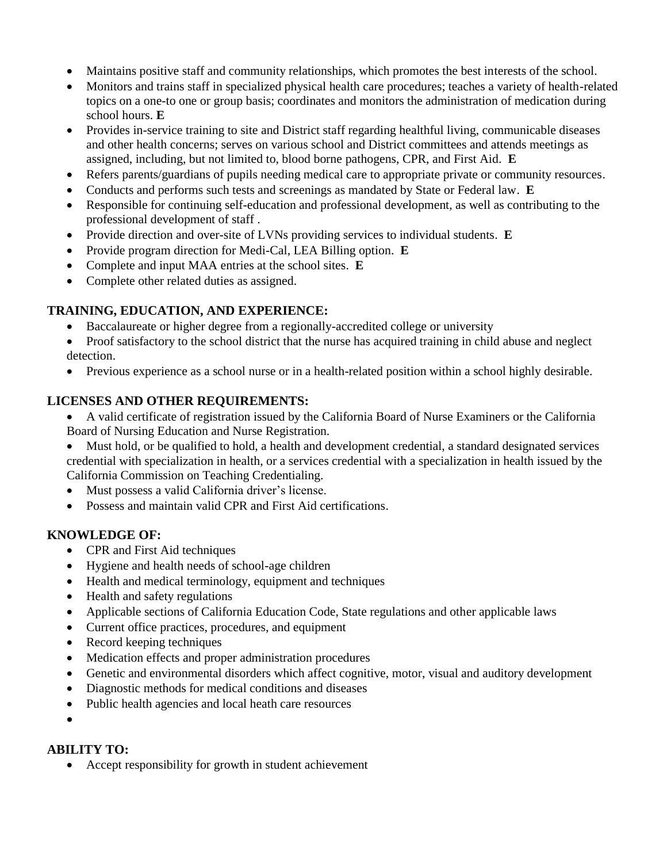- Maintains positive staff and community relationships, which promotes the best interests of the school.
- Monitors and trains staff in specialized physical health care procedures; teaches a variety of health-related topics on a one-to one or group basis; coordinates and monitors the administration of medication during school hours. **E**
- Provides in-service training to site and District staff regarding healthful living, communicable diseases and other health concerns; serves on various school and District committees and attends meetings as assigned, including, but not limited to, blood borne pathogens, CPR, and First Aid. **E**
- Refers parents/guardians of pupils needing medical care to appropriate private or community resources.
- Conducts and performs such tests and screenings as mandated by State or Federal law. **E**
- Responsible for continuing self-education and professional development, as well as contributing to the professional development of staff .
- Provide direction and over-site of LVNs providing services to individual students. **E**
- Provide program direction for Medi-Cal, LEA Billing option. **E**
- Complete and input MAA entries at the school sites. **E**
- Complete other related duties as assigned.

### **TRAINING, EDUCATION, AND EXPERIENCE:**

- Baccalaureate or higher degree from a regionally-accredited college or university
- Proof satisfactory to the school district that the nurse has acquired training in child abuse and neglect detection.
- Previous experience as a school nurse or in a health-related position within a school highly desirable.

### **LICENSES AND OTHER REQUIREMENTS:**

- A valid certificate of registration issued by the California Board of Nurse Examiners or the California Board of Nursing Education and Nurse Registration.
- Must hold, or be qualified to hold, a health and development credential, a standard designated services credential with specialization in health, or a services credential with a specialization in health issued by the California Commission on Teaching Credentialing.
- Must possess a valid California driver's license.
- Possess and maintain valid CPR and First Aid certifications.

### **KNOWLEDGE OF:**

- CPR and First Aid techniques
- Hygiene and health needs of school-age children
- Health and medical terminology, equipment and techniques
- Health and safety regulations
- Applicable sections of California Education Code, State regulations and other applicable laws
- Current office practices, procedures, and equipment
- Record keeping techniques
- Medication effects and proper administration procedures
- Genetic and environmental disorders which affect cognitive, motor, visual and auditory development
- Diagnostic methods for medical conditions and diseases
- Public health agencies and local heath care resources

# $\bullet$

### **ABILITY TO:**

Accept responsibility for growth in student achievement